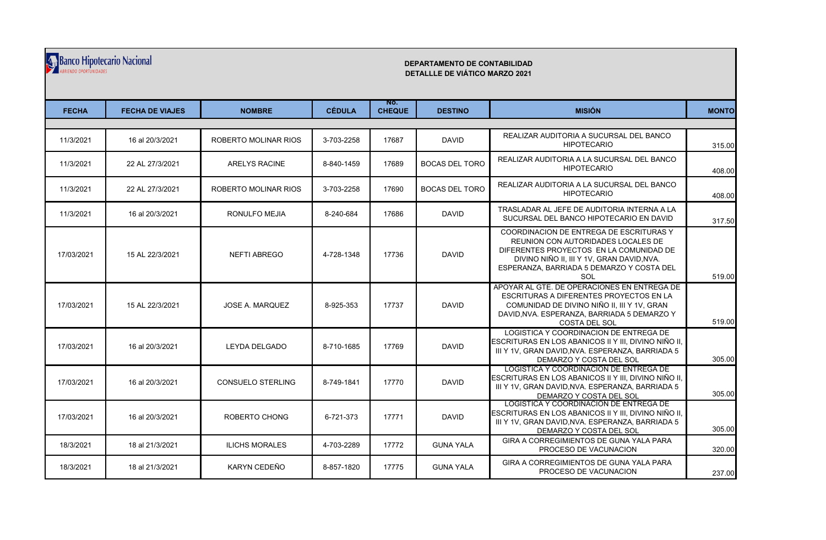## Banco Hipotecario Nacional

## **DEPARTAMENTO DE CONTABILIDAD DETALLLE DE VIÁTICO MARZO 2021**

| <b>FECHA</b> | <b>FECHA DE VIAJES</b> | <b>NOMBRE</b>            | <b>CÉDULA</b> | NO.<br><b>CHEQUE</b> | <b>DESTINO</b>        | <b>MISIÓN</b>                                                                                                                                                                                                              | <b>MONTO</b> |  |  |
|--------------|------------------------|--------------------------|---------------|----------------------|-----------------------|----------------------------------------------------------------------------------------------------------------------------------------------------------------------------------------------------------------------------|--------------|--|--|
|              |                        |                          |               |                      |                       |                                                                                                                                                                                                                            |              |  |  |
| 11/3/2021    | 16 al 20/3/2021        | ROBERTO MOLINAR RIOS     | 3-703-2258    | 17687                | <b>DAVID</b>          | REALIZAR AUDITORIA A SUCURSAL DEL BANCO<br><b>HIPOTECARIO</b>                                                                                                                                                              | 315.00       |  |  |
| 11/3/2021    | 22 AL 27/3/2021        | <b>ARELYS RACINE</b>     | 8-840-1459    | 17689                | <b>BOCAS DEL TORO</b> | REALIZAR AUDITORIA A LA SUCURSAL DEL BANCO<br><b>HIPOTECARIO</b>                                                                                                                                                           | 408.00       |  |  |
| 11/3/2021    | 22 AL 27/3/2021        | ROBERTO MOLINAR RIOS     | 3-703-2258    | 17690                | <b>BOCAS DEL TORO</b> | REALIZAR AUDITORIA A LA SUCURSAL DEL BANCO<br><b>HIPOTECARIO</b>                                                                                                                                                           | 408.00       |  |  |
| 11/3/2021    | 16 al 20/3/2021        | <b>RONULFO MEJIA</b>     | 8-240-684     | 17686                | <b>DAVID</b>          | TRASLADAR AL JEFE DE AUDITORIA INTERNA A LA<br>SUCURSAL DEL BANCO HIPOTECARIO EN DAVID                                                                                                                                     | 317.50       |  |  |
| 17/03/2021   | 15 AL 22/3/2021        | <b>NEFTI ABREGO</b>      | 4-728-1348    | 17736                | <b>DAVID</b>          | COORDINACION DE ENTREGA DE ESCRITURAS Y<br>REUNION CON AUTORIDADES LOCALES DE<br>DIFERENTES PROYECTOS EN LA COMUNIDAD DE<br>DIVINO NIÑO II, III Y 1V, GRAN DAVID, NVA.<br>ESPERANZA, BARRIADA 5 DEMARZO Y COSTA DEL<br>SOL | 519.00       |  |  |
| 17/03/2021   | 15 AL 22/3/2021        | <b>JOSE A. MARQUEZ</b>   | 8-925-353     | 17737                | <b>DAVID</b>          | APOYAR AL GTE. DE OPERACIONES EN ENTREGA DE<br>ESCRITURAS A DIFERENTES PROYECTOS EN LA<br>COMUNIDAD DE DIVINO NIÑO II. III Y 1V. GRAN<br>DAVID.NVA, ESPERANZA, BARRIADA 5 DEMARZO Y<br><b>COSTA DEL SOL</b>                | 519.00       |  |  |
| 17/03/2021   | 16 al 20/3/2021        | <b>LEYDA DELGADO</b>     | 8-710-1685    | 17769                | <b>DAVID</b>          | LOGISTICA Y COORDINACION DE ENTREGA DE<br>ESCRITURAS EN LOS ABANICOS II Y III. DIVINO NIÑO II.<br>III Y 1V, GRAN DAVID, NVA. ESPERANZA, BARRIADA 5<br>DEMARZO Y COSTA DEL SOL                                              | 305.00       |  |  |
| 17/03/2021   | 16 al 20/3/2021        | <b>CONSUELO STERLING</b> | 8-749-1841    | 17770                | <b>DAVID</b>          | LOGISTICA Y COORDINACION DE ENTREGA DE<br>ESCRITURAS EN LOS ABANICOS II Y III, DIVINO NIÑO II,<br>III Y 1V, GRAN DAVID, NVA. ESPERANZA, BARRIADA 5<br>DEMARZO Y COSTA DEL SOL                                              | 305.00       |  |  |
| 17/03/2021   | 16 al 20/3/2021        | ROBERTO CHONG            | 6-721-373     | 17771                | <b>DAVID</b>          | LOGISTICA Y COORDINACION DE ENTREGA DE<br>ESCRITURAS EN LOS ABANICOS II Y III, DIVINO NIÑO II,<br>III Y 1V. GRAN DAVID.NVA, ESPERANZA, BARRIADA 5<br>DEMARZO Y COSTA DEL SOL                                               | 305.00       |  |  |
| 18/3/2021    | 18 al 21/3/2021        | <b>ILICHS MORALES</b>    | 4-703-2289    | 17772                | <b>GUNA YALA</b>      | GIRA A CORREGIMIENTOS DE GUNA YALA PARA<br>PROCESO DE VACUNACION                                                                                                                                                           | 320.00       |  |  |
| 18/3/2021    | 18 al 21/3/2021        | KARYN CEDEÑO             | 8-857-1820    | 17775                | <b>GUNA YALA</b>      | GIRA A CORREGIMIENTOS DE GUNA YALA PARA<br>PROCESO DE VACUNACION                                                                                                                                                           | 237.00       |  |  |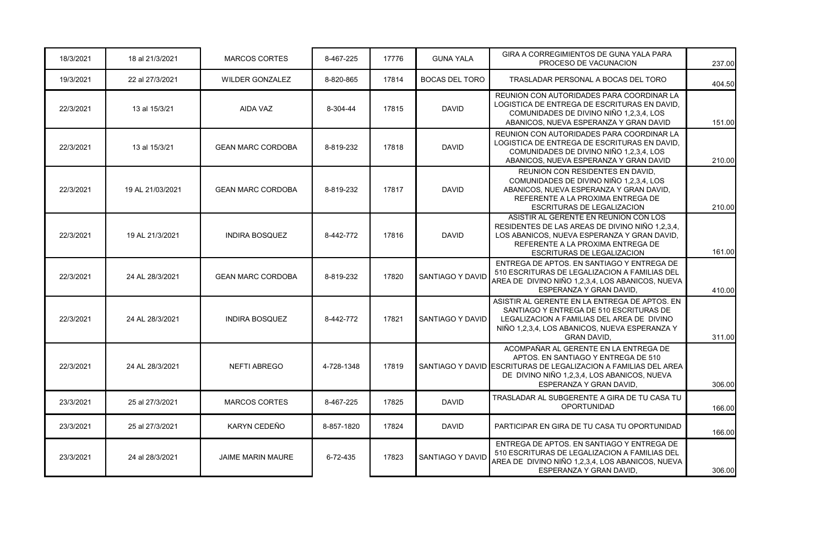| 18/3/2021 | 18 al 21/3/2021  | <b>MARCOS CORTES</b>     | 8-467-225  | 17776 | <b>GUNA YALA</b>      | GIRA A CORREGIMIENTOS DE GUNA YALA PARA<br>PROCESO DE VACUNACION                                                                                                                                                          | 237.00 |
|-----------|------------------|--------------------------|------------|-------|-----------------------|---------------------------------------------------------------------------------------------------------------------------------------------------------------------------------------------------------------------------|--------|
| 19/3/2021 | 22 al 27/3/2021  | <b>WILDER GONZALEZ</b>   | 8-820-865  | 17814 | <b>BOCAS DEL TORO</b> | TRASLADAR PERSONAL A BOCAS DEL TORO                                                                                                                                                                                       | 404.50 |
| 22/3/2021 | 13 al 15/3/21    | <b>AIDA VAZ</b>          | 8-304-44   | 17815 | <b>DAVID</b>          | REUNION CON AUTORIDADES PARA COORDINAR LA<br>LOGISTICA DE ENTREGA DE ESCRITURAS EN DAVID.<br>COMUNIDADES DE DIVINO NIÑO 1,2,3,4, LOS<br>ABANICOS, NUEVA ESPERANZA Y GRAN DAVID                                            | 151.00 |
| 22/3/2021 | 13 al 15/3/21    | <b>GEAN MARC CORDOBA</b> | 8-819-232  | 17818 | <b>DAVID</b>          | REUNION CON AUTORIDADES PARA COORDINAR LA<br>LOGISTICA DE ENTREGA DE ESCRITURAS EN DAVID.<br>COMUNIDADES DE DIVINO NIÑO 1,2,3,4, LOS<br>ABANICOS, NUEVA ESPERANZA Y GRAN DAVID                                            | 210.00 |
| 22/3/2021 | 19 AL 21/03/2021 | <b>GEAN MARC CORDOBA</b> | 8-819-232  | 17817 | <b>DAVID</b>          | REUNION CON RESIDENTES EN DAVID.<br>COMUNIDADES DE DIVINO NIÑO 1,2,3,4, LOS<br>ABANICOS, NUEVA ESPERANZA Y GRAN DAVID,<br>REFERENTE A LA PROXIMA ENTREGA DE<br>ESCRITURAS DE LEGALIZACION                                 | 210.00 |
| 22/3/2021 | 19 AL 21/3/2021  | <b>INDIRA BOSQUEZ</b>    | 8-442-772  | 17816 | <b>DAVID</b>          | ASISTIR AL GERENTE EN REUNION CON LOS<br>RESIDENTES DE LAS AREAS DE DIVINO NIÑO 1,2,3,4,<br>LOS ABANICOS, NUEVA ESPERANZA Y GRAN DAVID,<br>REFERENTE A LA PROXIMA ENTREGA DE<br><b>ESCRITURAS DE LEGALIZACION</b>         | 161.00 |
| 22/3/2021 | 24 AL 28/3/2021  | <b>GEAN MARC CORDOBA</b> | 8-819-232  | 17820 | SANTIAGO Y DAVID      | ENTREGA DE APTOS. EN SANTIAGO Y ENTREGA DE<br>510 ESCRITURAS DE LEGALIZACION A FAMILIAS DEL<br>AREA DE DIVINO NIÑO 1,2,3,4, LOS ABANICOS, NUEVA<br>ESPERANZA Y GRAN DAVID,                                                | 410.00 |
| 22/3/2021 | 24 AL 28/3/2021  | <b>INDIRA BOSQUEZ</b>    | 8-442-772  | 17821 | SANTIAGO Y DAVID      | ASISTIR AL GERENTE EN LA ENTREGA DE APTOS. EN<br>SANTIAGO Y ENTREGA DE 510 ESCRITURAS DE<br>LEGALIZACION A FAMILIAS DEL AREA DE DIVINO<br>NIÑO 1,2,3,4, LOS ABANICOS, NUEVA ESPERANZA Y<br><b>GRAN DAVID,</b>             | 311.00 |
| 22/3/2021 | 24 AL 28/3/2021  | <b>NEFTI ABREGO</b>      | 4-728-1348 | 17819 |                       | ACOMPAÑAR AL GERENTE EN LA ENTREGA DE<br>APTOS. EN SANTIAGO Y ENTREGA DE 510<br>SANTIAGO Y DAVID ESCRITURAS DE LEGALIZACION A FAMILIAS DEL AREA<br>DE DIVINO NIÑO 1,2,3,4, LOS ABANICOS, NUEVA<br>ESPERANZA Y GRAN DAVID, | 306.00 |
| 23/3/2021 | 25 al 27/3/2021  | <b>MARCOS CORTES</b>     | 8-467-225  | 17825 | <b>DAVID</b>          | TRASLADAR AL SUBGERENTE A GIRA DE TU CASA TU<br><b>OPORTUNIDAD</b>                                                                                                                                                        | 166.00 |
| 23/3/2021 | 25 al 27/3/2021  | KARYN CEDEÑO             | 8-857-1820 | 17824 | <b>DAVID</b>          | PARTICIPAR EN GIRA DE TU CASA TU OPORTUNIDAD                                                                                                                                                                              | 166.00 |
| 23/3/2021 | 24 al 28/3/2021  | <b>JAIME MARIN MAURE</b> | 6-72-435   | 17823 | SANTIAGO Y DAVID      | ENTREGA DE APTOS. EN SANTIAGO Y ENTREGA DE<br>510 ESCRITURAS DE LEGALIZACION A FAMILIAS DEL<br>AREA DE DIVINO NIÑO 1,2,3,4, LOS ABANICOS, NUEVA<br>ESPERANZA Y GRAN DAVID.                                                | 306.00 |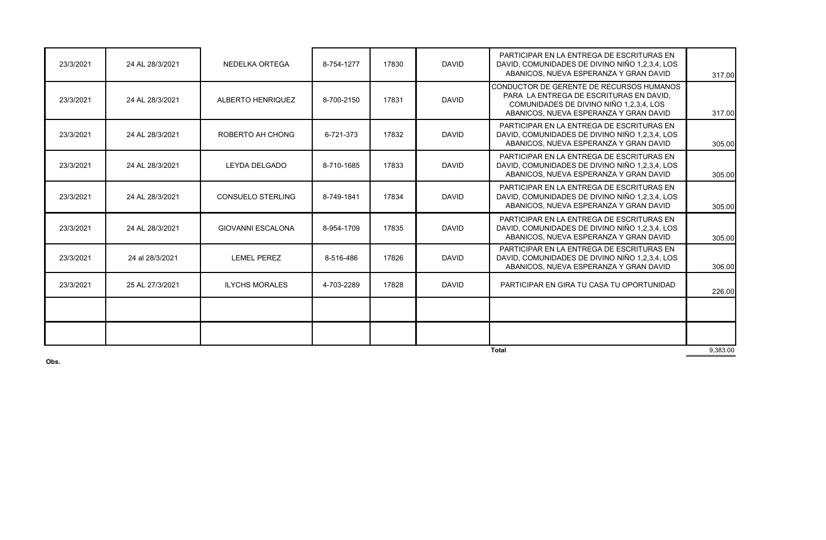| 23/3/2021    | 24 AL 28/3/2021 | NEDELKA ORTEGA           | 8-754-1277 | 17830 | <b>DAVID</b> | PARTICIPAR EN LA ENTREGA DE ESCRITURAS EN<br>DAVID, COMUNIDADES DE DIVINO NIÑO 1,2,3,4, LOS<br>ABANICOS, NUEVA ESPERANZA Y GRAN DAVID                                    | 317.00   |
|--------------|-----------------|--------------------------|------------|-------|--------------|--------------------------------------------------------------------------------------------------------------------------------------------------------------------------|----------|
| 23/3/2021    | 24 AL 28/3/2021 | ALBERTO HENRIQUEZ        | 8-700-2150 | 17831 | <b>DAVID</b> | CONDUCTOR DE GERENTE DE RECURSOS HUMANOS<br>PARA LA ENTREGA DE ESCRITURAS EN DAVID,<br>COMUNIDADES DE DIVINO NIÑO 1.2.3.4. LOS<br>ABANICOS, NUEVA ESPERANZA Y GRAN DAVID | 317.00   |
| 23/3/2021    | 24 AL 28/3/2021 | ROBERTO AH CHONG         | 6-721-373  | 17832 | <b>DAVID</b> | PARTICIPAR EN LA ENTREGA DE ESCRITURAS EN<br>DAVID, COMUNIDADES DE DIVINO NIÑO 1,2,3,4, LOS<br>ABANICOS, NUEVA ESPERANZA Y GRAN DAVID                                    | 305.00   |
| 23/3/2021    | 24 AL 28/3/2021 | <b>LEYDA DELGADO</b>     | 8-710-1685 | 17833 | <b>DAVID</b> | PARTICIPAR EN LA ENTREGA DE ESCRITURAS EN<br>DAVID, COMUNIDADES DE DIVINO NIÑO 1,2,3,4, LOS<br>ABANICOS, NUEVA ESPERANZA Y GRAN DAVID                                    | 305.00   |
| 23/3/2021    | 24 AL 28/3/2021 | <b>CONSUELO STERLING</b> | 8-749-1841 | 17834 | <b>DAVID</b> | PARTICIPAR EN LA ENTREGA DE ESCRITURAS EN<br>DAVID, COMUNIDADES DE DIVINO NIÑO 1,2,3,4, LOS<br>ABANICOS, NUEVA ESPERANZA Y GRAN DAVID                                    | 305.00   |
| 23/3/2021    | 24 AL 28/3/2021 | <b>GIOVANNI ESCALONA</b> | 8-954-1709 | 17835 | <b>DAVID</b> | PARTICIPAR EN LA ENTREGA DE ESCRITURAS EN<br>DAVID, COMUNIDADES DE DIVINO NIÑO 1,2,3,4, LOS<br>ABANICOS, NUEVA ESPERANZA Y GRAN DAVID                                    | 305.00   |
| 23/3/2021    | 24 al 28/3/2021 | <b>LEMEL PEREZ</b>       | 8-516-486  | 17826 | <b>DAVID</b> | PARTICIPAR EN LA ENTREGA DE ESCRITURAS EN<br>DAVID, COMUNIDADES DE DIVINO NIÑO 1,2,3,4, LOS<br>ABANICOS, NUEVA ESPERANZA Y GRAN DAVID                                    | 306.00   |
| 23/3/2021    | 25 AL 27/3/2021 | <b>ILYCHS MORALES</b>    | 4-703-2289 | 17828 | <b>DAVID</b> | PARTICIPAR EN GIRA TU CASA TU OPORTUNIDAD                                                                                                                                | 226.00   |
|              |                 |                          |            |       |              |                                                                                                                                                                          |          |
|              |                 |                          |            |       |              |                                                                                                                                                                          |          |
| <b>Total</b> |                 |                          |            |       |              |                                                                                                                                                                          | 9,383.00 |